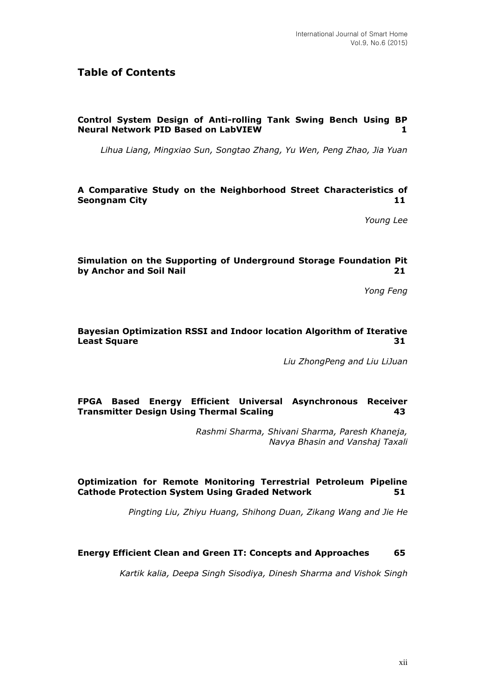# **Table of Contents**

## **Control System Design of Anti-rolling Tank Swing Bench Using BP Neural Network PID Based on LabVIEW 1**

*Lihua Liang, Mingxiao Sun, Songtao Zhang, Yu Wen, Peng Zhao, Jia Yuan*

#### **A Comparative Study on the Neighborhood Street Characteristics of Seongnam City 11**

*Young Lee*

#### **Simulation on the Supporting of Underground Storage Foundation Pit by Anchor and Soil Nail 21**

*Yong Feng*

#### **Bayesian Optimization RSSI and Indoor location Algorithm of Iterative Least Square 31**

*Liu ZhongPeng and Liu LiJuan*

#### **FPGA Based Energy Efficient Universal Asynchronous Receiver Transmitter Design Using Thermal Scaling 43**

*Rashmi Sharma, Shivani Sharma, Paresh Khaneja, Navya Bhasin and Vanshaj Taxali*

#### **Optimization for Remote Monitoring Terrestrial Petroleum Pipeline Cathode Protection System Using Graded Network 51**

*Pingting Liu, Zhiyu Huang, Shihong Duan, Zikang Wang and Jie He*

#### **Energy Efficient Clean and Green IT: Concepts and Approaches 65**

*Kartik kalia, Deepa Singh Sisodiya, Dinesh Sharma and Vishok Singh*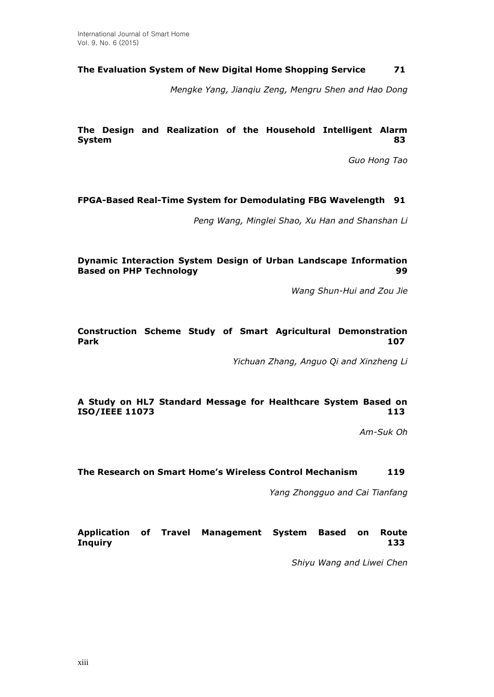## **The Evaluation System of New Digital Home Shopping Service 71**

*Mengke Yang, Jianqiu Zeng, Mengru Shen and Hao Dong*

**The Design and Realization of the Household Intelligent Alarm System 83**

*Guo Hong Tao*

## **FPGA-Based Real-Time System for Demodulating FBG Wavelength 91**

*Peng Wang, Minglei Shao, Xu Han and Shanshan Li*

#### **Dynamic Interaction System Design of Urban Landscape Information Based on PHP Technology** 899

*Wang Shun-Hui and Zou Jie*

#### **Construction Scheme Study of Smart Agricultural Demonstration Park 107**

*Yichuan Zhang, Anguo Qi and Xinzheng Li*

#### **A Study on HL7 Standard Message for Healthcare System Based on ISO/IEEE 11073 113**

*Am-Suk Oh*

#### **The Research on Smart Home's Wireless Control Mechanism 119**

*Yang Zhongguo and Cai Tianfang*

## **Application of Travel Management System Based on Route Inquiry 133**

*Shiyu Wang and Liwei Chen*